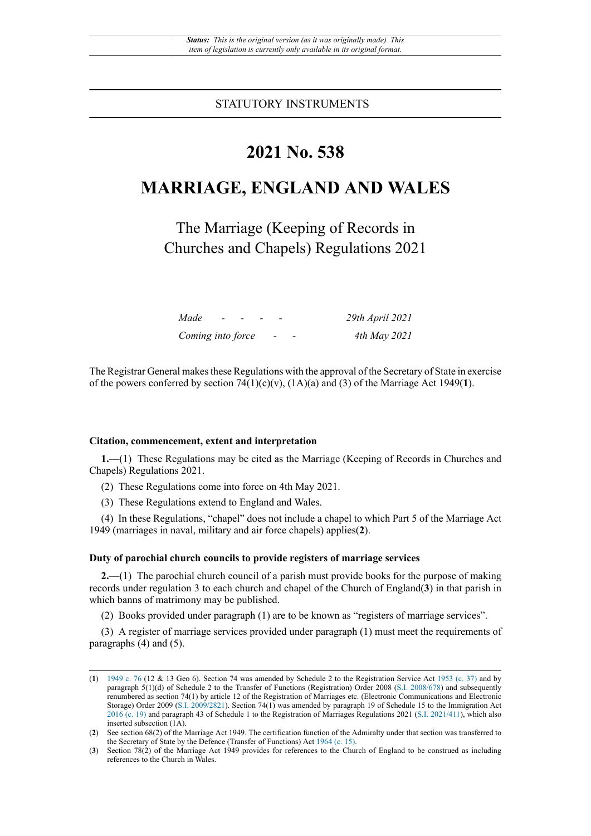STATUTORY INSTRUMENTS

## **2021 No. 538**

# **MARRIAGE, ENGLAND AND WALES**

The Marriage (Keeping of Records in Churches and Chapels) Regulations 2021

| Made              | $\sim$ |  |                          |                          | 29th April 2021 |
|-------------------|--------|--|--------------------------|--------------------------|-----------------|
| Coming into force |        |  | $\overline{\phantom{a}}$ | $\overline{\phantom{a}}$ | 4th May 2021    |

The Registrar General makes these Regulations with the approval of the Secretary of State in exercise of the powers conferred by section  $74(1)(c)(v)$ ,  $(1A)(a)$  and  $(3)$  of the Marriage Act 1949(1).

#### **Citation, commencement, extent and interpretation**

**1.**—(1) These Regulations may be cited as the Marriage (Keeping of Records in Churches and Chapels) Regulations 2021.

(2) These Regulations come into force on 4th May 2021.

(3) These Regulations extend to England and Wales.

(4) In these Regulations, "chapel" does not include a chapel to which Part 5 of the Marriage Act 1949 (marriages in naval, military and air force chapels) applies(**2**).

#### **Duty of parochial church councils to provide registers of marriage services**

**2.**—(1) The parochial church council of a parish must provide books for the purpose of making records under regulation 3 to each church and chapel of the Church of England(**3**) in that parish in which banns of matrimony may be published.

(2) Books provided under paragraph (1) are to be known as "registers of marriage services".

(3) A register of marriage services provided under paragraph (1) must meet the requirements of paragraphs (4) and (5).

<sup>(</sup>**1**) [1949 c. 76](http://www.legislation.gov.uk/id/ukpga/1949/76) (12 & 13 Geo 6). Section 74 was amended by Schedule 2 to the Registration Service Act [1953 \(c. 37\)](http://www.legislation.gov.uk/id/ukpga/1953/37) and by paragraph 5(1)(d) of Schedule 2 to the Transfer of Functions (Registration) Order 2008 ([S.I. 2008/678\)](http://www.legislation.gov.uk/id/uksi/2008/678) and subsequently renumbered as section 74(1) by article 12 of the Registration of Marriages etc. (Electronic Communications and Electronic Storage) Order 2009 [\(S.I. 2009/2821\)](http://www.legislation.gov.uk/id/uksi/2009/2821). Section 74(1) was amended by paragraph 19 of Schedule 15 to the Immigration Act [2016 \(c. 19\)](http://www.legislation.gov.uk/id/ukpga/2016/19) and paragraph 43 of Schedule 1 to the Registration of Marriages Regulations 2021 (S.I. [2021/411\)](http://www.legislation.gov.uk/id/uksi/2021/411), which also inserted subsection (1A).

<sup>(</sup>**2**) See section 68(2) of the Marriage Act 1949. The certification function of the Admiralty under that section was transferred to the Secretary of State by the Defence (Transfer of Functions) Act [1964 \(c. 15\).](http://www.legislation.gov.uk/id/ukpga/1964/15)

<sup>(</sup>**3**) Section 78(2) of the Marriage Act 1949 provides for references to the Church of England to be construed as including references to the Church in Wales.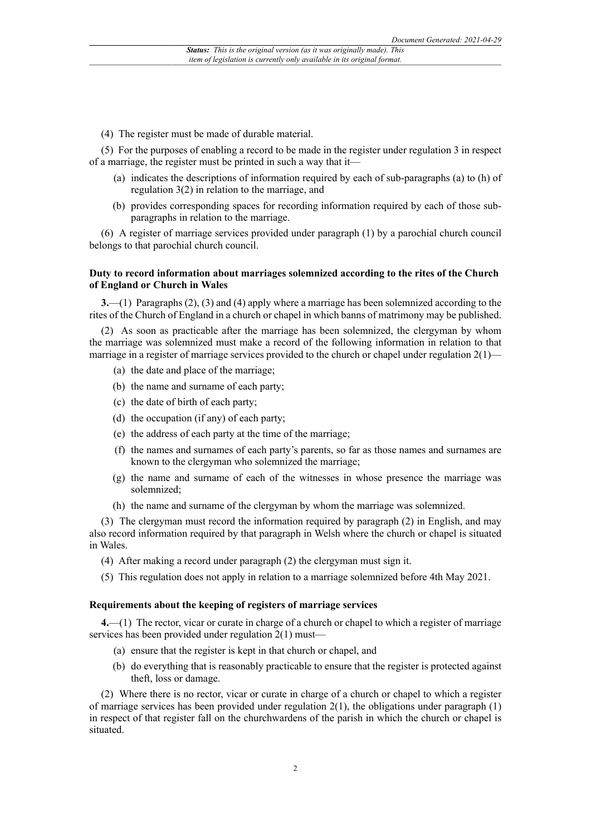(4) The register must be made of durable material.

(5) For the purposes of enabling a record to be made in the register under regulation 3 in respect of a marriage, the register must be printed in such a way that it—

- (a) indicates the descriptions of information required by each of sub-paragraphs (a) to (h) of regulation 3(2) in relation to the marriage, and
- (b) provides corresponding spaces for recording information required by each of those subparagraphs in relation to the marriage.

(6) A register of marriage services provided under paragraph (1) by a parochial church council belongs to that parochial church council.

#### **Duty to record information about marriages solemnized according to the rites of the Church of England or Church in Wales**

**3.**—(1) Paragraphs (2), (3) and (4) apply where a marriage has been solemnized according to the rites of the Church of England in a church or chapel in which banns of matrimony may be published.

(2) As soon as practicable after the marriage has been solemnized, the clergyman by whom the marriage was solemnized must make a record of the following information in relation to that marriage in a register of marriage services provided to the church or chapel under regulation  $2(1)$ 

- (a) the date and place of the marriage;
- (b) the name and surname of each party;
- (c) the date of birth of each party;
- (d) the occupation (if any) of each party;
- (e) the address of each party at the time of the marriage;
- (f) the names and surnames of each party's parents, so far as those names and surnames are known to the clergyman who solemnized the marriage;
- (g) the name and surname of each of the witnesses in whose presence the marriage was solemnized;
- (h) the name and surname of the clergyman by whom the marriage was solemnized.

(3) The clergyman must record the information required by paragraph (2) in English, and may also record information required by that paragraph in Welsh where the church or chapel is situated in Wales.

- (4) After making a record under paragraph (2) the clergyman must sign it.
- (5) This regulation does not apply in relation to a marriage solemnized before 4th May 2021.

#### **Requirements about the keeping of registers of marriage services**

**4.**—(1) The rector, vicar or curate in charge of a church or chapel to which a register of marriage services has been provided under regulation 2(1) must—

- (a) ensure that the register is kept in that church or chapel, and
- (b) do everything that is reasonably practicable to ensure that the register is protected against theft, loss or damage.

(2) Where there is no rector, vicar or curate in charge of a church or chapel to which a register of marriage services has been provided under regulation  $2(1)$ , the obligations under paragraph  $(1)$ in respect of that register fall on the churchwardens of the parish in which the church or chapel is situated.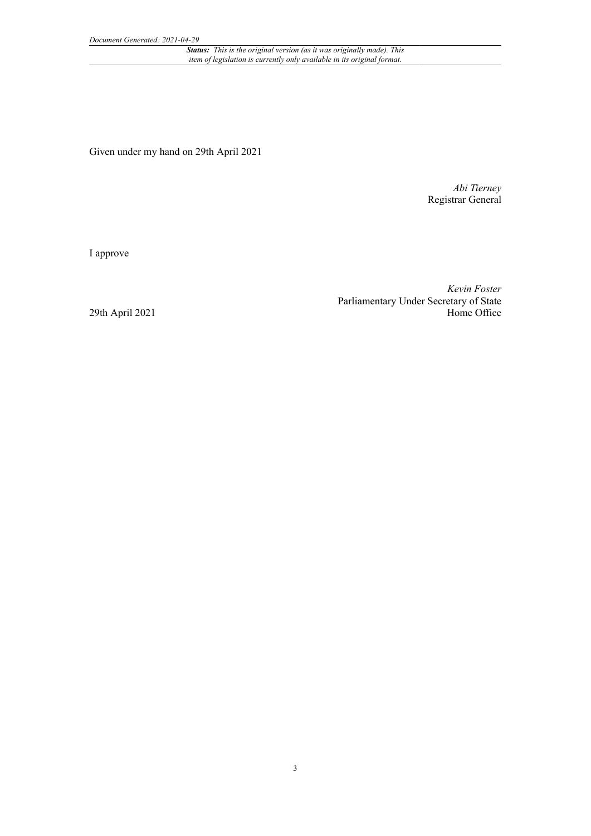*Status: This is the original version (as it was originally made). This item of legislation is currently only available in its original format.*

Given under my hand on 29th April 2021

*Abi Tierney* Registrar General

I approve

*Kevin Foster* Parliamentary Under Secretary of State Home Office

29th April 2021